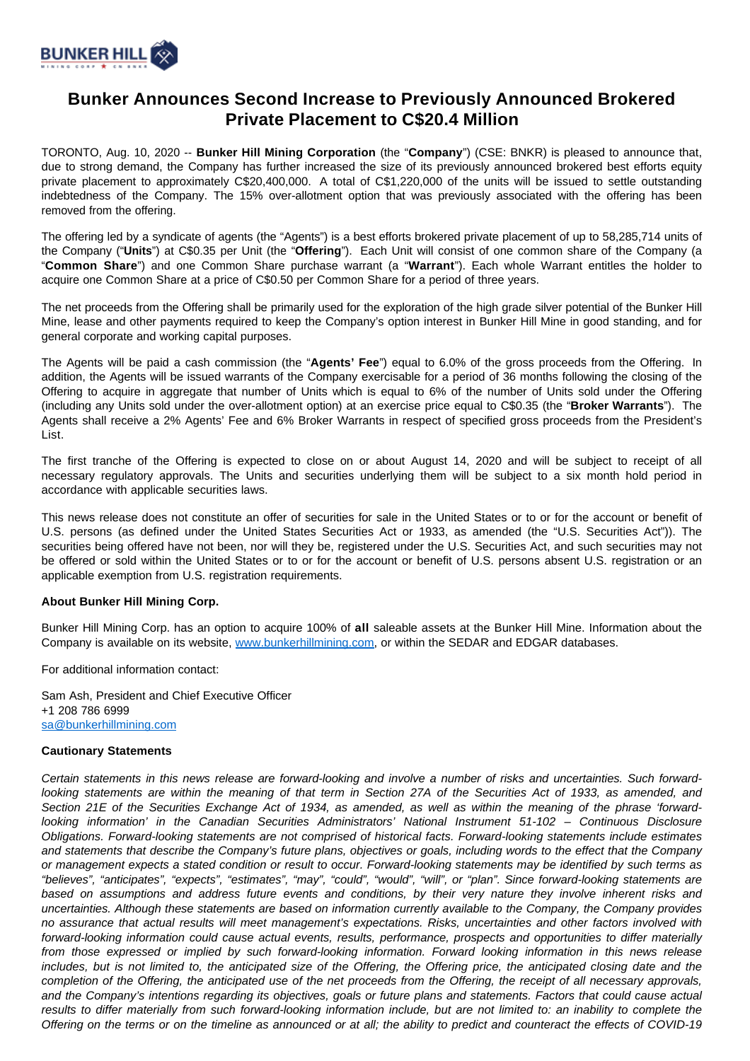

## **Bunker Announces Second Increase to Previously Announced Brokered Private Placement to C\$20.4 Million**

TORONTO, Aug. 10, 2020 -- **Bunker Hill Mining Corporation** (the "**Company**") (CSE: BNKR) is pleased to announce that, due to strong demand, the Company has further increased the size of its previously announced brokered best efforts equity private placement to approximately C\$20,400,000. A total of C\$1,220,000 of the units will be issued to settle outstanding indebtedness of the Company. The 15% over-allotment option that was previously associated with the offering has been removed from the offering.

The offering led by a syndicate of agents (the "Agents") is a best efforts brokered private placement of up to 58,285,714 units of the Company ("**Units**") at C\$0.35 per Unit (the "**Offering**"). Each Unit will consist of one common share of the Company (a "**Common Share**") and one Common Share purchase warrant (a "**Warrant**"). Each whole Warrant entitles the holder to acquire one Common Share at a price of C\$0.50 per Common Share for a period of three years.

The net proceeds from the Offering shall be primarily used for the exploration of the high grade silver potential of the Bunker Hill Mine, lease and other payments required to keep the Company's option interest in Bunker Hill Mine in good standing, and for general corporate and working capital purposes.

The Agents will be paid a cash commission (the "**Agents' Fee**") equal to 6.0% of the gross proceeds from the Offering. In addition, the Agents will be issued warrants of the Company exercisable for a period of 36 months following the closing of the Offering to acquire in aggregate that number of Units which is equal to 6% of the number of Units sold under the Offering (including any Units sold under the over-allotment option) at an exercise price equal to C\$0.35 (the "**Broker Warrants**"). The Agents shall receive a 2% Agents' Fee and 6% Broker Warrants in respect of specified gross proceeds from the President's List.

The first tranche of the Offering is expected to close on or about August 14, 2020 and will be subject to receipt of all necessary regulatory approvals. The Units and securities underlying them will be subject to a six month hold period in accordance with applicable securities laws.

This news release does not constitute an offer of securities for sale in the United States or to or for the account or benefit of U.S. persons (as defined under the United States Securities Act or 1933, as amended (the "U.S. Securities Act")). The securities being offered have not been, nor will they be, registered under the U.S. Securities Act, and such securities may not be offered or sold within the United States or to or for the account or benefit of U.S. persons absent U.S. registration or an applicable exemption from U.S. registration requirements.

## **About Bunker Hill Mining Corp.**

Bunker Hill Mining Corp. has an option to acquire 100% of **all** saleable assets at the Bunker Hill Mine. Information about the Company is available on its website, [www.bunkerhillmining.com,](http://www.bunkerhillmining.com/) or within the SEDAR and EDGAR databases.

For additional information contact:

Sam Ash, President and Chief Executive Officer +1 208 786 6999 [sa@bunkerhillmining.com](mailto:sa@bunkerhillmining.com)

## **Cautionary Statements**

Certain statements in this news release are forward-looking and involve a number of risks and uncertainties. Such forwardlooking statements are within the meaning of that term in Section 27A of the Securities Act of 1933, as amended, and Section 21E of the Securities Exchange Act of 1934, as amended, as well as within the meaning of the phrase 'forwardlooking information' in the Canadian Securities Administrators' National Instrument 51-102 – Continuous Disclosure Obligations. Forward-looking statements are not comprised of historical facts. Forward-looking statements include estimates and statements that describe the Company's future plans, objectives or goals, including words to the effect that the Company or management expects a stated condition or result to occur. Forward-looking statements may be identified by such terms as "believes", "anticipates", "expects", "estimates", "may", "could", "would", "will", or "plan". Since forward-looking statements are based on assumptions and address future events and conditions, by their very nature they involve inherent risks and uncertainties. Although these statements are based on information currently available to the Company, the Company provides no assurance that actual results will meet management's expectations. Risks, uncertainties and other factors involved with forward-looking information could cause actual events, results, performance, prospects and opportunities to differ materially from those expressed or implied by such forward-looking information. Forward looking information in this news release includes, but is not limited to, the anticipated size of the Offering, the Offering price, the anticipated closing date and the completion of the Offering, the anticipated use of the net proceeds from the Offering, the receipt of all necessary approvals, and the Company's intentions regarding its objectives, goals or future plans and statements. Factors that could cause actual results to differ materially from such forward-looking information include, but are not limited to: an inability to complete the Offering on the terms or on the timeline as announced or at all; the ability to predict and counteract the effects of COVID-19